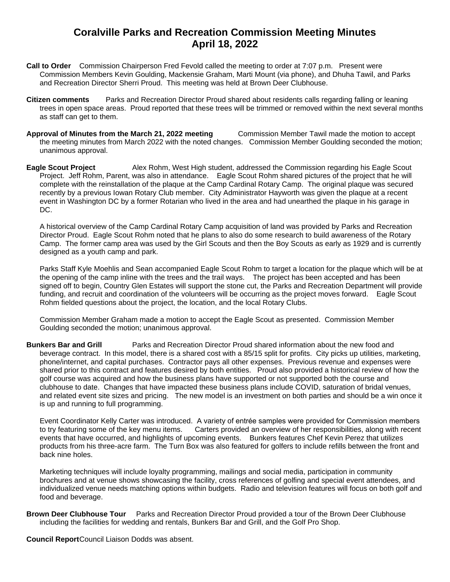## **Coralville Parks and Recreation Commission Meeting Minutes April 18, 2022**

- **Call to Order** Commission Chairperson Fred Fevold called the meeting to order at 7:07 p.m. Present were Commission Members Kevin Goulding, Mackensie Graham, Marti Mount (via phone), and Dhuha Tawil, and Parks and Recreation Director Sherri Proud. This meeting was held at Brown Deer Clubhouse.
- **Citizen comments** Parks and Recreation Director Proud shared about residents calls regarding falling or leaning trees in open space areas. Proud reported that these trees will be trimmed or removed within the next several months as staff can get to them.
- **Approval of Minutes from the March 21, 2022 meeting** Commission Member Tawil made the motion to accept the meeting minutes from March 2022 with the noted changes. Commission Member Goulding seconded the motion; unanimous approval.
- **Eagle Scout Project** Alex Rohm, West High student, addressed the Commission regarding his Eagle Scout Project. Jeff Rohm, Parent, was also in attendance. Eagle Scout Rohm shared pictures of the project that he will complete with the reinstallation of the plaque at the Camp Cardinal Rotary Camp. The original plaque was secured recently by a previous Iowan Rotary Club member. City Administrator Hayworth was given the plaque at a recent event in Washington DC by a former Rotarian who lived in the area and had unearthed the plaque in his garage in DC.

A historical overview of the Camp Cardinal Rotary Camp acquisition of land was provided by Parks and Recreation Director Proud. Eagle Scout Rohm noted that he plans to also do some research to build awareness of the Rotary Camp. The former camp area was used by the Girl Scouts and then the Boy Scouts as early as 1929 and is currently designed as a youth camp and park.

Parks Staff Kyle Moehlis and Sean accompanied Eagle Scout Rohm to target a location for the plaque which will be at the opening of the camp inline with the trees and the trail ways. The project has been accepted and has been signed off to begin, Country Glen Estates will support the stone cut, the Parks and Recreation Department will provide funding, and recruit and coordination of the volunteers will be occurring as the project moves forward. Eagle Scout Rohm fielded questions about the project, the location, and the local Rotary Clubs.

Commission Member Graham made a motion to accept the Eagle Scout as presented. Commission Member Goulding seconded the motion; unanimous approval.

**Bunkers Bar and Grill** Parks and Recreation Director Proud shared information about the new food and beverage contract. In this model, there is a shared cost with a 85/15 split for profits. City picks up utilities, marketing, phone/internet, and capital purchases. Contractor pays all other expenses. Previous revenue and expenses were shared prior to this contract and features desired by both entities. Proud also provided a historical review of how the golf course was acquired and how the business plans have supported or not supported both the course and clubhouse to date. Changes that have impacted these business plans include COVID, saturation of bridal venues, and related event site sizes and pricing. The new model is an investment on both parties and should be a win once it is up and running to full programming.

Event Coordinator Kelly Carter was introduced. A variety of entrée samples were provided for Commission members to try featuring some of the key menu items. Carters provided an overview of her responsibilities, along with recent events that have occurred, and highlights of upcoming events. Bunkers features Chef Kevin Perez that utilizes products from his three-acre farm. The Turn Box was also featured for golfers to include refills between the front and back nine holes.

Marketing techniques will include loyalty programming, mailings and social media, participation in community brochures and at venue shows showcasing the facility, cross references of golfing and special event attendees, and individualized venue needs matching options within budgets. Radio and television features will focus on both golf and food and beverage.

**Brown Deer Clubhouse Tour** Parks and Recreation Director Proud provided a tour of the Brown Deer Clubhouse including the facilities for wedding and rentals, Bunkers Bar and Grill, and the Golf Pro Shop.

**Council Report**Council Liaison Dodds was absent.